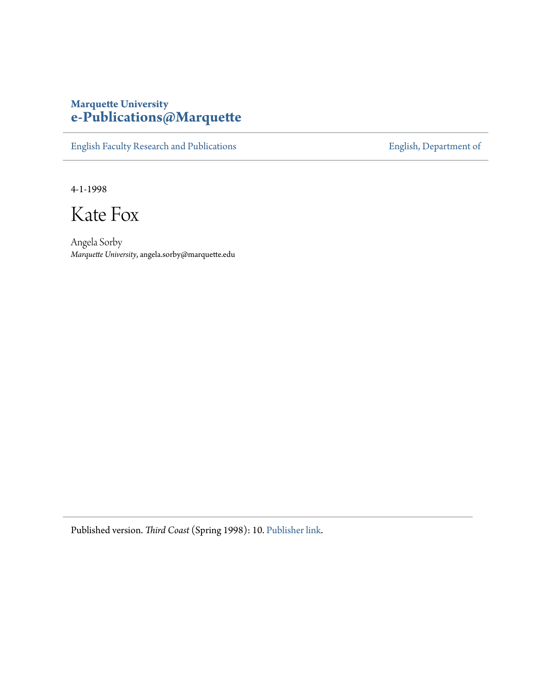## **Marquette University [e-Publications@Marquette](https://epublications.marquette.edu)**

[English Faculty Research and Publications](https://epublications.marquette.edu/english_fac) **[English, Department of](https://epublications.marquette.edu/english)** 

4-1-1998

Kate Fox

Angela Sorby *Marquette University*, angela.sorby@marquette.edu

Published version. *Third Coast* (Spring 1998): 10. [Publisher link.](http://thirdcoastmagazine.com/)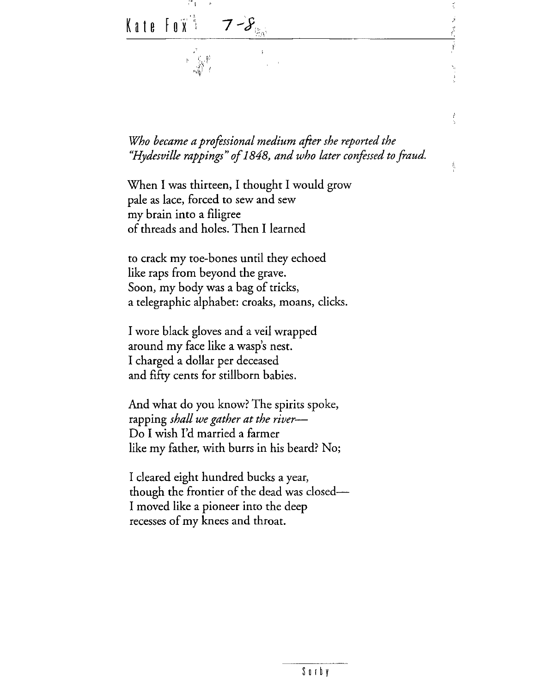$\cdots$ Ť, Kate Fo $\widetilde{\mathbf{x}}^*$  ,  $\boldsymbol{\tau}$  -  $\boldsymbol{\mathcal{S}}_{\text{\tiny{Gav}}}$  $\vec{z}$ Ŷ,

 $\frac{t^2}{2}$ 

 $\frac{1}{2}$ 

*Who became a professional medium after she reported the "Hydesville rappings'' of 1848, and who later confessed to fraud.* 

When I was thirteen, I thought I would grow pale as lace, forced to sew and sew my brain into a filigree of threads and holes. Then I learned

to crack my toe-bones until they echoed like raps from beyond the grave. Soon, my body was a bag of tricks, a telegraphic alphabet: croaks, moans, clicks.

I wore black gloves and a veil wrapped around my face like a wasp's nest. I charged a dollar per deceased and fifty cents for stillborn babies.

And what do you know? The spirits spoke, rapping *shall we gather at the river-*Do I wish I'd married a farmer like my father, with burrs in his beard? No;

I cleared eight hundred bucks a year, though the frontier of the dead was closed-I moved like a pioneer into the deep recesses of my knees and throat.